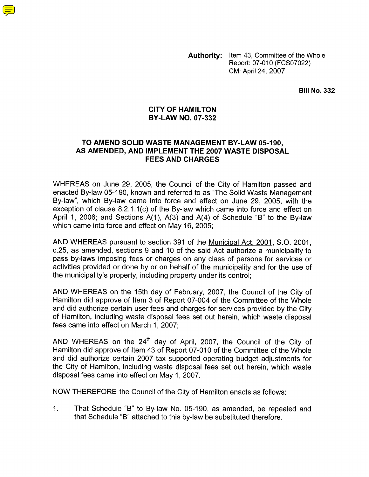**Authority:** Item 43, Committee of the Whole Report: 07-010 (FCS07022) CM: April 24, 2007

**Bill No. 332** 

## **CITY OF HAMILTON BY-LAW NO. 07-332**

# **TO AMEND SOLID WASTE MANAGEMENT BY-LAW 05-190, AS AMENDED, AND IMPLEMENT THE 2007 WASTE DISPOSAL FEES AND CHARGES**

WHEREAS on June 29, 2005, the Council of the City of Hamilton passed and enacted By-law 05-190, known and referred to as "The Solid Waste Management By-law", which By-law came into force and effect on June 29, 2005, with the exception of clause  $8.2.1.1(c)$  of the By-law which came into force and effect on April 1, 2006; and Sections A(I), A(3) and A(4) of Schedule "B" to the By-law which came into force and effect on May 16, 2005;

AND WHEREAS pursuant to section 391 of the Municipal Act, 2001, S.O. 2001, c.25, as amended, sections 9 and 10 of the said Act authorize a municipality to pass by-laws imposing fees or charges on any class of persons for services or activities provided or done by or on behalf of the municipality and for the use of the municipality's property, including property under its control;

AND WHEREAS on the 15th day of February, 2007, the Council of the City of Hamilton did approve of Item 3 of Report 07-004 of the Committee of the Whole and did authorize certain user fees and charges for services provided by the City of Hamilton, including waste disposal fees set out herein, which waste disposal fees came into effect on March 1, 2007;

AND WHEREAS on the 24'h day of April, 2007, the Council of the City of Hamilton did approve of Item 43 of Report 07-010 of the Committee of the Whole and did authorize certain 2007 tax supported operating budget adjustments for the City of Hamilton, including waste disposal fees set out herein, which waste disposal fees came into effect on May 1,2007.

NOW THEREFORE the Council of the City of Hamilton enacts as follows:

1. That Schedule "B" to By-law No. 05-190, as amended, be repealed and that Schedule "B" attached to this by-law be substituted therefore.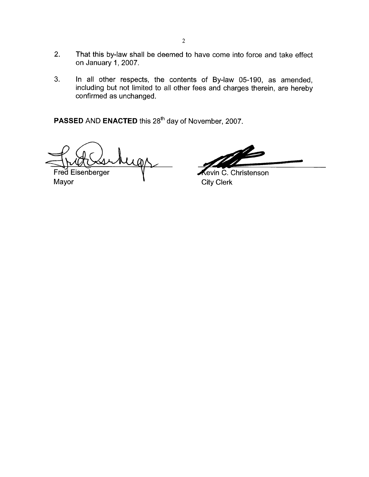- 2. That this by-law shall be deemed to have come into force and take effect on January 1,2007.
- 3. In all other respects, the contents of By-law 05-190, as amended, including but not limited to all other fees and charges therein, are hereby confirmed as unchanged.

**PASSED AND ENACTED** this 28<sup>th</sup> day of November, 2007.

Fred Eisenberger

Mayor **Mayor City Clerk** 

Kevin C.-Christenson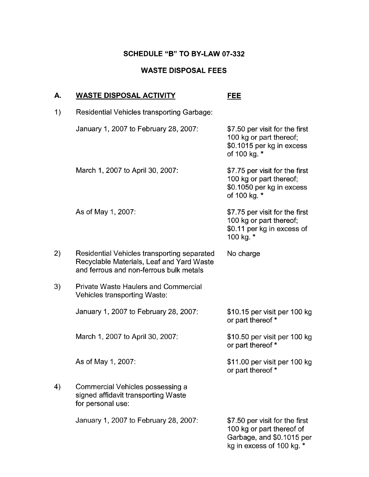# **SCHEDULE "B" TO BY-LAW 07-332**

## **WASTE DISPOSAL FEES**

# **A. WASTE DISPOSAL ACTIVITY FEE** 1) Residential Vehicles transporting Garbage: January 1,2007 to February 28,2007: \$7.50 per visit for the first 100 kg or part thereof; \$0.1015 per kg in excess of 100 kg. \* March 1, 2007 to April 30, 2007: \$7.75 per visit for the first 100 kg or part thereof; \$0.1050 per kg in excess of 100 kg. \* As of May 1,2007: \$7.75 per visit for the first 100 kg or part thereof; \$0.11 per kg in excess of 100 kg. \* 2) Residential Vehicles transporting separated No charge Recyclable Materials, Leaf and Yard Waste and ferrous and non-ferrous bulk metals **3)** Private Waste Haulers and Commercial Vehicles transporting Waste: January 1, 2007 to February 28, 2007: \$10.15 per visit per 100 kg or part thereof \* March 1, 2007 to April 30, 2007: \$10.50 per visit per 100 kg or part thereof \* As of May 1,2007: \$1 1 .OO per visit per 100 kg or part thereof \* 4) Commercial Vehicles possessing a signed affidavit transporting Waste for personal use: January 1,2007 to February 28,2007: \$7.50 per visit for the first 100 kg or part thereof of Garbage, and \$0.1015 per

kg in excess of 100 kg. \*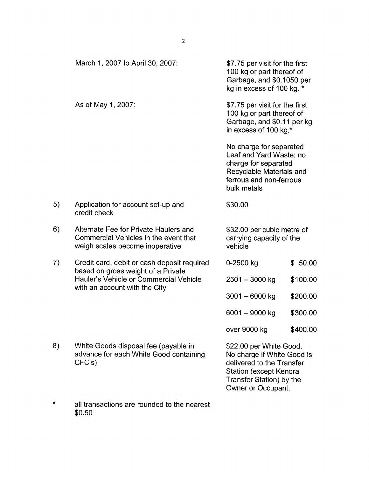|    | March 1, 2007 to April 30, 2007:                                                                                                                             | \$7.75 per visit for the first<br>100 kg or part thereof of<br>Garbage, and \$0.1050 per<br>kg in excess of 100 kg. *                            |                                                                                                                                                                       |  |
|----|--------------------------------------------------------------------------------------------------------------------------------------------------------------|--------------------------------------------------------------------------------------------------------------------------------------------------|-----------------------------------------------------------------------------------------------------------------------------------------------------------------------|--|
|    | As of May 1, 2007:                                                                                                                                           | \$7.75 per visit for the first<br>100 kg or part thereof of<br>Garbage, and \$0.11 per kg<br>in excess of 100 kg.*                               |                                                                                                                                                                       |  |
|    |                                                                                                                                                              | No charge for separated<br>Leaf and Yard Waste; no<br>charge for separated<br>Recyclable Materials and<br>ferrous and non-ferrous<br>bulk metals |                                                                                                                                                                       |  |
| 5) | Application for account set-up and<br>credit check                                                                                                           | \$30.00                                                                                                                                          |                                                                                                                                                                       |  |
| 6) | Alternate Fee for Private Haulers and<br>Commercial Vehicles in the event that<br>weigh scales become inoperative                                            | \$32.00 per cubic metre of<br>carrying capacity of the<br>vehicle                                                                                |                                                                                                                                                                       |  |
| 7) | Credit card, debit or cash deposit required<br>based on gross weight of a Private<br>Hauler's Vehicle or Commercial Vehicle<br>with an account with the City | $0 - 2500$ kg                                                                                                                                    | \$50.00                                                                                                                                                               |  |
|    |                                                                                                                                                              | $2501 - 3000$ kg                                                                                                                                 | \$100.00                                                                                                                                                              |  |
|    |                                                                                                                                                              | $3001 - 6000$ kg                                                                                                                                 | \$200.00                                                                                                                                                              |  |
|    |                                                                                                                                                              | 6001 - 9000 kg                                                                                                                                   | \$300.00                                                                                                                                                              |  |
|    |                                                                                                                                                              | over 9000 kg                                                                                                                                     | \$400.00                                                                                                                                                              |  |
| 8) | White Goods disposal fee (payable in<br>advance for each White Good containing<br>CFC's                                                                      |                                                                                                                                                  | \$22.00 per White Good.<br>No charge if White Good is<br>delivered to the Transfer<br><b>Station (except Kenora</b><br>Transfer Station) by the<br>Owner or Occupant. |  |

\* all transactions are rounded to the nearest \$0.50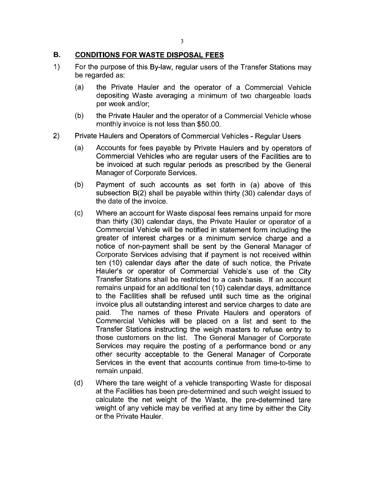## **B. CONDITIONS FOR WASTE DISPOSAL FEES**

- 1) For the purpose of this By-law, regular users of the Transfer Stations may be regarded as:
	- (a) the Private Hauler and the operator of a Commercial Vehicle depositing Waste averaging a minimum of *two* chargeable loads per week and/or;
	- the Private Hauler and the operator of a Commercial Vehicle whose monthly invoice is not less than \$50.00. (b)
- Private Haulers and Operators of Commercial Vehicles Regular Users 2)
	- Accounts for fees payable by Private Haulers and by operators of Commercial Vehicles who are regular users of the Facilities are to be invoiced at such regular periods as prescribed by the General Manager of Corporate Services. (a)
	- (b) Payment of such accounts as set forth in (a) above of this subsection B(2) shall be payable within thirty (30) calendar days of the date of the invoice.
	- $(c)$ Where an account for Waste disposal fees remains unpaid for more than thirty (30) calendar days, the Private Hauler or operator of a Commercial Vehicle will be notified in statement form including the greater of interest charges or a minimum service charge and a notice of non-payment shall be sent by the General Manager of Corporate Services advising that if payment is not received within ten (10) calendar days after the date of such notice, the Private Hauler's or operator of Commercial Vehicle's use of the City Transfer Stations shall be restricted to a cash basis. If an account remains unpaid for an additional ten (10) calendar days, admittance to the Facilities shall be refused until such time as the original invoice plus all outstanding interest and service charges to date are paid. The names of these Private Haulers and operators of Commercial Vehicles will be placed on a list and sent to the Transfer Stations instructing the weigh masters to refuse entry to those customers on the list. The General Manager of Corporate Services may require the posting of a performance bond or any other security acceptable to the General Manager of Corporate Services in the event that accounts continue from time-to-time to remain unpaid.
	- (d) Where the tare weight of a vehicle transporting Waste for disposal at the Facilities has been pre-determined and such weight issued to calculate the net weight of the Waste, the pre-determined tare weight of any vehicle may be verified at any time by either the City or the Private Hauler.